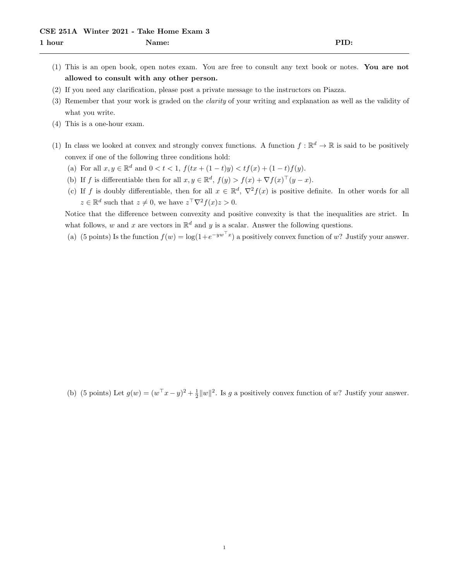- (1) This is an open book, open notes exam. You are free to consult any text book or notes. You are not allowed to consult with any other person.
- (2) If you need any clarification, please post a private message to the instructors on Piazza.
- (3) Remember that your work is graded on the clarity of your writing and explanation as well as the validity of what you write.
- (4) This is a one-hour exam.
- (1) In class we looked at convex and strongly convex functions. A function  $f : \mathbb{R}^d \to \mathbb{R}$  is said to be positively convex if one of the following three conditions hold:
	- (a) For all  $x, y \in \mathbb{R}^d$  and  $0 < t < 1$ ,  $f(tx + (1-t)y) < tf(x) + (1-t)f(y)$ .
	- (b) If f is differentiable then for all  $x, y \in \mathbb{R}^d$ ,  $f(y) > f(x) + \nabla f(x)^\top (y x)$ .
	- (c) If f is doubly differentiable, then for all  $x \in \mathbb{R}^d$ ,  $\nabla^2 f(x)$  is positive definite. In other words for all  $z \in \mathbb{R}^d$  such that  $z \neq 0$ , we have  $z^{\top} \nabla^2 f(x) z > 0$ .

Notice that the difference between convexity and positive convexity is that the inequalities are strict. In what follows, w and x are vectors in  $\mathbb{R}^d$  and y is a scalar. Answer the following questions.

(a) (5 points) Is the function  $f(w) = \log(1 + e^{-yw^{\top}x})$  a positively convex function of w? Justify your answer.

(b) (5 points) Let  $g(w) = (w^{\top}x - y)^2 + \frac{1}{2}||w||^2$ . Is g a positively convex function of w? Justify your answer.